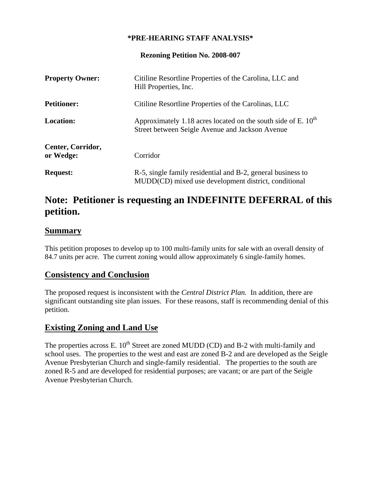#### **\*PRE-HEARING STAFF ANALYSIS\***

**Rezoning Petition No. 2008-007** 

| <b>Property Owner:</b>         | Citiline Resortline Properties of the Carolina, LLC and<br>Hill Properties, Inc.                                      |
|--------------------------------|-----------------------------------------------------------------------------------------------------------------------|
| <b>Petitioner:</b>             | Citiline Resortline Properties of the Carolinas, LLC                                                                  |
| <b>Location:</b>               | Approximately 1.18 acres located on the south side of E. $10^{th}$<br>Street between Seigle Avenue and Jackson Avenue |
| Center, Corridor,<br>or Wedge: | Corridor                                                                                                              |
| <b>Request:</b>                | R-5, single family residential and B-2, general business to<br>MUDD(CD) mixed use development district, conditional   |

# **Note: Petitioner is requesting an INDEFINITE DEFERRAL of this petition.**

#### **Summary**

This petition proposes to develop up to 100 multi-family units for sale with an overall density of 84.7 units per acre. The current zoning would allow approximately 6 single-family homes.

# **Consistency and Conclusion**

The proposed request is inconsistent with the *Central District Plan.* In addition, there are significant outstanding site plan issues. For these reasons, staff is recommending denial of this petition.

# **Existing Zoning and Land Use**

The properties across E.  $10^{th}$  Street are zoned MUDD (CD) and B-2 with multi-family and school uses. The properties to the west and east are zoned B-2 and are developed as the Seigle Avenue Presbyterian Church and single-family residential. The properties to the south are zoned R-5 and are developed for residential purposes; are vacant; or are part of the Seigle Avenue Presbyterian Church.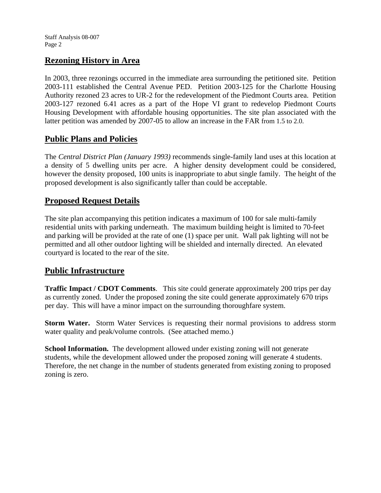## **Rezoning History in Area**

In 2003, three rezonings occurred in the immediate area surrounding the petitioned site. Petition 2003-111 established the Central Avenue PED. Petition 2003-125 for the Charlotte Housing Authority rezoned 23 acres to UR-2 for the redevelopment of the Piedmont Courts area. Petition 2003-127 rezoned 6.41 acres as a part of the Hope VI grant to redevelop Piedmont Courts Housing Development with affordable housing opportunities. The site plan associated with the latter petition was amended by 2007-05 to allow an increase in the FAR from 1.5 to 2.0.

## **Public Plans and Policies**

The *Central District Plan (January 1993)* recommends single-family land uses at this location at a density of 5 dwelling units per acre. A higher density development could be considered, however the density proposed, 100 units is inappropriate to abut single family. The height of the proposed development is also significantly taller than could be acceptable.

## **Proposed Request Details**

The site plan accompanying this petition indicates a maximum of 100 for sale multi-family residential units with parking underneath. The maximum building height is limited to 70-feet and parking will be provided at the rate of one (1) space per unit. Wall pak lighting will not be permitted and all other outdoor lighting will be shielded and internally directed. An elevated courtyard is located to the rear of the site.

#### **Public Infrastructure**

**Traffic Impact / CDOT Comments**. This site could generate approximately 200 trips per day as currently zoned. Under the proposed zoning the site could generate approximately 670 trips per day. This will have a minor impact on the surrounding thoroughfare system.

**Storm Water.** Storm Water Services is requesting their normal provisions to address storm water quality and peak/volume controls. (See attached memo.)

**School Information.** The development allowed under existing zoning will not generate students, while the development allowed under the proposed zoning will generate 4 students. Therefore, the net change in the number of students generated from existing zoning to proposed zoning is zero.